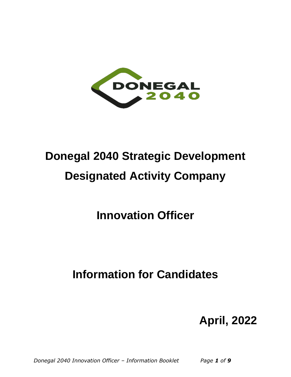

# **Donegal 2040 Strategic Development Designated Activity Company**

**Innovation Officer**

**Information for Candidates**

# **April, 2022**

*Donegal 2040 Innovation Officer – Information Booklet Page 1 of 9*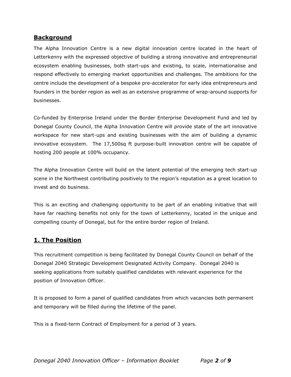#### **Background**

The Alpha Innovation Centre is a new digital innovation centre located in the heart of Letterkenny with the expressed objective of building a strong innovative and entrepreneurial ecosystem enabling businesses, both start-ups and existing, to scale, internationalise and respond effectively to emerging market opportunities and challenges. The ambitions for the centre include the development of a bespoke pre-accelerator for early idea entrepreneurs and founders in the border region as well as an extensive programme of wrap-around supports for businesses.

Co-funded by Enterprise Ireland under the Border Enterprise Development Fund and led by Donegal County Council, the Alpha Innovation Centre will provide state of the art innovative workspace for new start-ups and existing businesses with the aim of building a dynamic innovative ecosystem. The 17,500sq ft purpose-built innovation centre will be capable of hosting 200 people at 100% occupancy.

The Alpha Innovation Centre will build on the latent potential of the emerging tech start-up scene in the Northwest contributing positively to the region's reputation as a great location to invest and do business.

This is an exciting and challenging opportunity to be part of an enabling initiative that will have far reaching benefits not only for the town of Letterkenny, located in the unique and compelling county of Donegal, but for the entire border region of Ireland.

## **1. The Position**

This recruitment competition is being facilitated by Donegal County Council on behalf of the Donegal 2040 Strategic Development Designated Activity Company. Donegal 2040 is seeking applications from suitably qualified candidates with relevant experience for the position of Innovation Officer.

It is proposed to form a panel of qualified candidates from which vacancies both permanent and temporary will be filled during the lifetime of the panel.

This is a fixed-term Contract of Employment for a period of 3 years.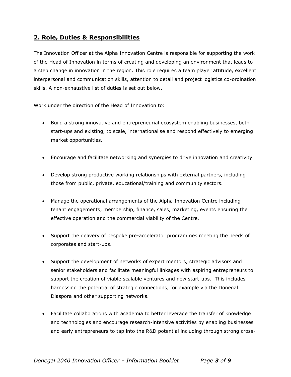# **2. Role, Duties & Responsibilities**

The Innovation Officer at the Alpha Innovation Centre is responsible for supporting the work of the Head of Innovation in terms of creating and developing an environment that leads to a step change in innovation in the region. This role requires a team player attitude, excellent interpersonal and communication skills, attention to detail and project logistics co-ordination skills. A non-exhaustive list of duties is set out below.

Work under the direction of the Head of Innovation to:

- Build a strong innovative and entrepreneurial ecosystem enabling businesses, both start-ups and existing, to scale, internationalise and respond effectively to emerging market opportunities.
- Encourage and facilitate networking and synergies to drive innovation and creativity.
- Develop strong productive working relationships with external partners, including those from public, private, educational/training and community sectors.
- Manage the operational arrangements of the Alpha Innovation Centre including tenant engagements, membership, finance, sales, marketing, events ensuring the effective operation and the commercial viability of the Centre.
- Support the delivery of bespoke pre-accelerator programmes meeting the needs of corporates and start-ups.
- Support the development of networks of expert mentors, strategic advisors and senior stakeholders and facilitate meaningful linkages with aspiring entrepreneurs to support the creation of viable scalable ventures and new start-ups. This includes harnessing the potential of strategic connections, for example via the Donegal Diaspora and other supporting networks.
- Facilitate collaborations with academia to better leverage the transfer of knowledge and technologies and encourage research-intensive activities by enabling businesses and early entrepreneurs to tap into the R&D potential including through strong cross-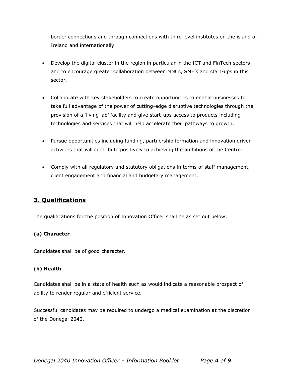border connections and through connections with third level institutes on the island of Ireland and internationally.

- Develop the digital cluster in the region in particular in the ICT and FinTech sectors and to encourage greater collaboration between MNCs, SME's and start-ups in this sector.
- Collaborate with key stakeholders to create opportunities to enable businesses to take full advantage of the power of cutting-edge disruptive technologies through the provision of a 'living lab' facility and give start-ups access to products including technologies and services that will help accelerate their pathways to growth.
- Pursue opportunities including funding, partnership formation and innovation driven activities that will contribute positively to achieving the ambitions of the Centre.
- Comply with all regulatory and statutory obligations in terms of staff management, client engagement and financial and budgetary management.

# **3. Qualifications**

The qualifications for the position of Innovation Officer shall be as set out below:

#### **(a) Character**

Candidates shall be of good character.

#### **(b) Health**

Candidates shall be in a state of health such as would indicate a reasonable prospect of ability to render regular and efficient service.

Successful candidates may be required to undergo a medical examination at the discretion of the Donegal 2040.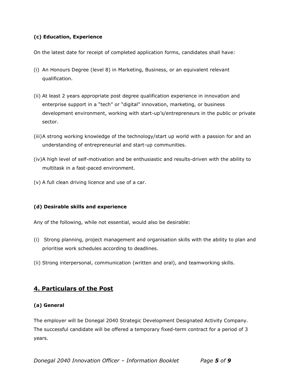#### **(c) Education, Experience**

On the latest date for receipt of completed application forms, candidates shall have:

- (i) An Honours Degree (level 8) in Marketing, Business, or an equivalent relevant qualification.
- (ii) At least 2 years appropriate post degree qualification experience in innovation and enterprise support in a "tech" or "digital" innovation, marketing, or business development environment, working with start-up's/entrepreneurs in the public or private sector.
- (iii)A strong working knowledge of the technology/start up world with a passion for and an understanding of entrepreneurial and start-up communities.
- (iv)A high level of self-motivation and be enthusiastic and results-driven with the ability to multitask in a fast-paced environment.
- (v) A full clean driving licence and use of a car.

#### **(d) Desirable skills and experience**

Any of the following, while not essential, would also be desirable:

- (i) Strong planning, project management and organisation skills with the ability to plan and prioritise work schedules according to deadlines.
- (ii) Strong interpersonal, communication (written and oral), and teamworking skills.

## **4. Particulars of the Post**

#### **(a) General**

The employer will be Donegal 2040 Strategic Development Designated Activity Company. The successful candidate will be offered a temporary fixed-term contract for a period of 3 years.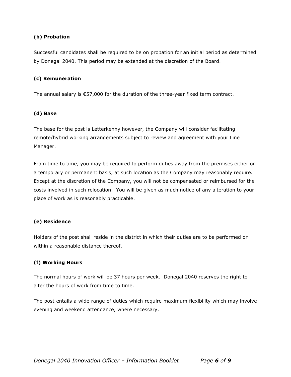#### **(b) Probation**

Successful candidates shall be required to be on probation for an initial period as determined by Donegal 2040. This period may be extended at the discretion of the Board.

#### **(c) Remuneration**

The annual salary is €57,000 for the duration of the three-year fixed term contract.

#### **(d) Base**

The base for the post is Letterkenny however, the Company will consider facilitating remote/hybrid working arrangements subject to review and agreement with your Line Manager.

From time to time, you may be required to perform duties away from the premises either on a temporary or permanent basis, at such location as the Company may reasonably require. Except at the discretion of the Company, you will not be compensated or reimbursed for the costs involved in such relocation. You will be given as much notice of any alteration to your place of work as is reasonably practicable.

#### **(e) Residence**

Holders of the post shall reside in the district in which their duties are to be performed or within a reasonable distance thereof.

#### **(f) Working Hours**

The normal hours of work will be 37 hours per week. Donegal 2040 reserves the right to alter the hours of work from time to time.

The post entails a wide range of duties which require maximum flexibility which may involve evening and weekend attendance, where necessary.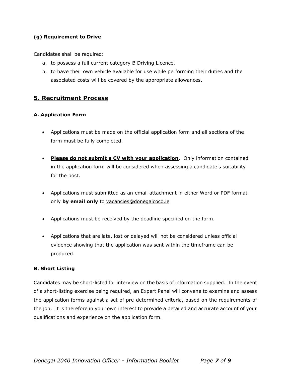#### **(g) Requirement to Drive**

Candidates shall be required:

- a. to possess a full current category B Driving Licence.
- b. to have their own vehicle available for use while performing their duties and the associated costs will be covered by the appropriate allowances.

# **5. Recruitment Process**

#### **A. Application Form**

- Applications must be made on the official application form and all sections of the form must be fully completed.
- **Please do not submit a CV with your application**. Only information contained in the application form will be considered when assessing a candidate's suitability for the post.
- Applications must submitted as an email attachment in either Word or PDF format only **by email only** to [vacancies@donegalcoco.ie](mailto:vacancies@donegalcoco.ie)
- Applications must be received by the deadline specified on the form.
- Applications that are late, lost or delayed will not be considered unless official evidence showing that the application was sent within the timeframe can be produced.

#### **B. Short Listing**

Candidates may be short-listed for interview on the basis of information supplied. In the event of a short-listing exercise being required, an Expert Panel will convene to examine and assess the application forms against a set of pre-determined criteria, based on the requirements of the job. It is therefore in your own interest to provide a detailed and accurate account of your qualifications and experience on the application form.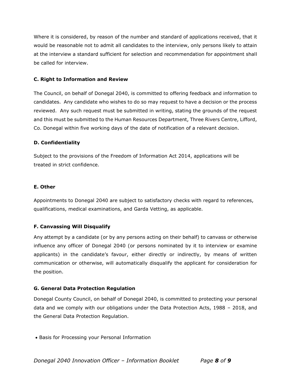Where it is considered, by reason of the number and standard of applications received, that it would be reasonable not to admit all candidates to the interview, only persons likely to attain at the interview a standard sufficient for selection and recommendation for appointment shall be called for interview.

#### **C. Right to Information and Review**

The Council, on behalf of Donegal 2040, is committed to offering feedback and information to candidates. Any candidate who wishes to do so may request to have a decision or the process reviewed. Any such request must be submitted in writing, stating the grounds of the request and this must be submitted to the Human Resources Department, Three Rivers Centre, Lifford, Co. Donegal within five working days of the date of notification of a relevant decision.

#### **D. Confidentiality**

Subject to the provisions of the Freedom of Information Act 2014, applications will be treated in strict confidence.

#### **E. Other**

Appointments to Donegal 2040 are subject to satisfactory checks with regard to references, qualifications, medical examinations, and Garda Vetting, as applicable.

#### **F. Canvassing Will Disqualify**

Any attempt by a candidate (or by any persons acting on their behalf) to canvass or otherwise influence any officer of Donegal 2040 (or persons nominated by it to interview or examine applicants) in the candidate's favour, either directly or indirectly, by means of written communication or otherwise, will automatically disqualify the applicant for consideration for the position.

#### **G. General Data Protection Regulation**

Donegal County Council, on behalf of Donegal 2040, is committed to protecting your personal data and we comply with our obligations under the Data Protection Acts, 1988 – 2018, and the General Data Protection Regulation.

• Basis for Processing your Personal Information